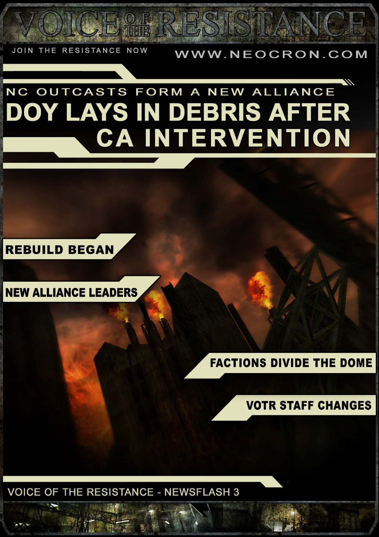THE RESISTANCE NOW **JOIN** 

#### WWW.NEOCRON.COM

# NC OUTCASTS FORM A NEW ALLIANCE **DOY LAYS IN DEBRIS AFTER CA INTERVENTION**

**REBUILD BEGAN** 

**NEW ALLIANCE LEADERS** 

#### **FACTIONS DIVIDE THE DOME**

#### **VOTR STAFF CHANGES**

**VOICE OF THE RESISTANCE - NEWSFLASH 3**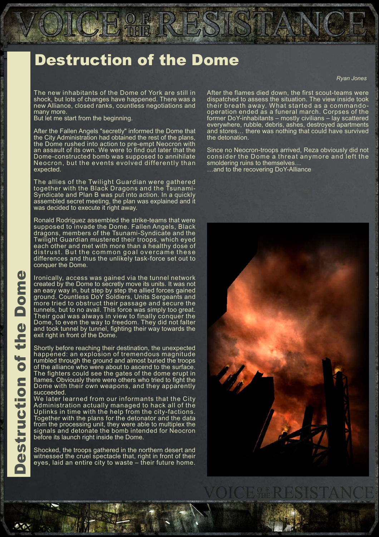### **Destruction of the Dome**

The new inhabitants of the Dome of York are still in<br>shock, but lots of changes have happened. There was a new Alliance, closed ranks, countless negotiations and many more.

But let me start from the beginning.

After the Fallen Angels "secretly" informed the Dome that<br>the City Administration had obtained the rest of the plans, the Dome rushed into action to pre-empt Neocron with an assault of its own. We were to find out later that the Dome-constructed bomb was supposed to annihilate Neocron, but the events evolved differently than expected.

The allies of the Twilight Guardian were gathered<br>together with the Black Dragons and the Tsunami-Syndicate and Plan B was put into action. In a quickly assembled secret meeting, the plan was explained and it was decided to execute it right away.

Ronald Rodriguez assembled the strike-teams that were supposed to invade the Dome. Fallen Angels, Black dragons, members of the Tsunami-Syndicate and the Twilight Guardian mustered their troops, which eyed each other and met with more than a healthy dose of distrust. But the common goal overcame these differences and thus the unlikely task-force set out to conquer the Dome.

Ironically, access was gained via the tunnel network created by the Dome to secretly move its units. It was not an easy way in, but step by step the allied forces gained ground. Countless DoY Soldiers, Units Sergeants and<br>more tried to obstruct their passage and secure the tunnels, but to no avail. This force was simply too great. Their goal was always in view to finally conquer the Dome, to even the way to freedom. They did not falter and took tunnel by tunnel, fighting their way towards the exit right in front of the Dome.

Shortly before reaching their destination, the unexpected happened: an explosion of tremendous magnitude rumbled through the ground and almost buried the troops of the alliance who were about to ascend to the surface. The fighters could see the gates of the dome erupt in flames. Obviously there were others who tried to fight the Dome with their own weapons, and they apparently succeeded

We later learned from our informants that the City Administration actually managed to hack all of the Uplinks in time with the help from the city-factions. Together with the plans for the detonator and the data from the processing unit, they were able to multiplex the signals and detonate the bomb intended for Neocron before its launch right inside the Dome.

Shocked, the troops gathered in the northern desert and witnessed the cruel spectacle that, right in front of their eyes, laid an entire city to waste - their future home.

**Ryan Jones** 

After the flames died down, the first scout-teams were dispatched to assess the situation. The view inside took<br>their breath away. What started as a commandooperation ended as a funeral march. Corpses of the former DoY-inhabitants – mostly civilians – lay scattered<br>everywhere, rubble, debris, ashes, destroyed apartments<br>and stores... there was nothing that could have survived the detonation.

Since no Neocron-troops arrived, Reza obviously did not consider the Dome a threat anymore and left the smoldering ruins to themselves... ... and to the recovering DoY-Alliance

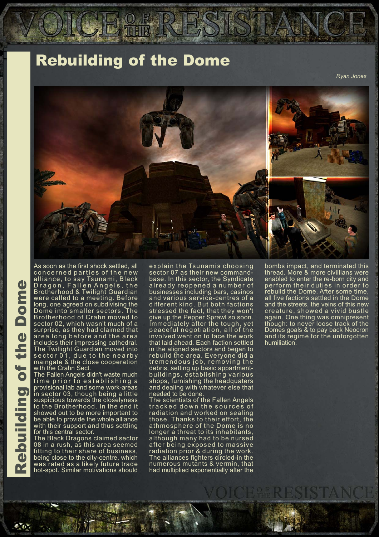### **Rebuilding of the Dome**

Rvan Jones



**Rebuilding of the Dome** 

As soon as the first shock settled, all concerned parties of the new alliance, to say Tsunami, Black<br>Dragon, Fallen Angels, the Brotherhood & Twilight Guardian were called to a meeting. Before<br>long, one agreed on subdivising the Dome into smaller sectors. The Brotherhood of Crahn moved to sector 02, which wasn't much of a surprise, as they had claimed that area long before and the area includes their impressing cathedral. The Twillight Guardian moved into sector 01, due to the nearby<br>maingate & the close cooperation with the Crahn Sect.

The Fallen Angels didn't waste much time prior to establishing a provisional lab and some work-areas in sector 03, though being a little<br>suspicious towards the closelyness to the Brotherhood. In the end it showed out to be more important to be able to provide the whole alliance with their support and thus settling for this central sector.

The Black Dragons claimed sector 08 in a rush, as this area seemed fitting to their share of business, being close to the city-centre, which was rated as a likely future trade hot-spot. Similar motivations should

explain the Tsunamis choosing sector 07 as their new commandbase. In this sector, the Syndicate<br>already reopened a number of businesses including bars, casinos and various service-centres of a different kind. But both factions<br>stressed the fact, that they won't<br>give up the Pepper Sprawl so soon.<br>Immediately after the tough, yet peaceful negotiation, all of the involved went on to face the work<br>that laid ahead. Each faction settled in the aligned sectors and began to rebuild the area. Everyone did a tremendous job, removing the debris, setting up basic appartmentbuildings, establishing various shops, furnishing the headquaters and dealing with whatever else that needed to be done.

The scientists of the Fallen Angels tracked down the sources of radiation and worked on sealing those. Thanks to their effort, the athmosphere of the Dome is no longer a threat to its inhabitants, although many had to be nursed after being exposed to massive radiation prior & during the work.<br>The alliances fighters circled-in the numerous mutants & vermin, that had multiplied exponentially after the

bombs impact, and terminated this thread. More & more civillians were enabled to enter the re-born city and<br>perform their duties in order to rebuild the Dome. After some time, all five factions settled in the Dome and the streets, the veins of this new creature, showed a vivid bustle again. One thing was omnipresent<br>though: to never loose track of the Domes goals & to pay back Neocron and its regime for the unforgotten humiliation.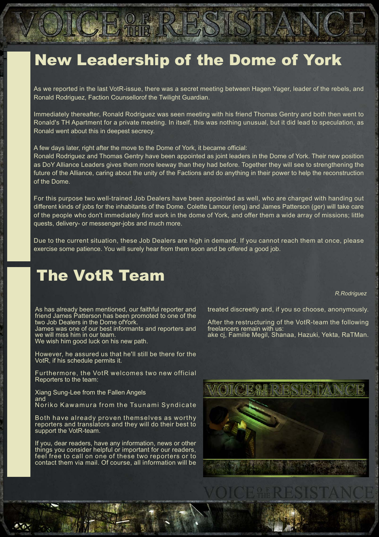### **New Leadership of the Dome of York**

As we reported in the last VotR-issue, there was a secret meeting between Hagen Yager, leader of the rebels, and Ronald Rodriguez, Faction Counsellorof the Twilight Guardian.

Immediately thereafter, Ronald Rodriguez was seen meeting with his friend Thomas Gentry and both then went to Ronald's TH Apartment for a private meeting. In itself, this was nothing unusual, but it did lead to speculation, as Ronald went about this in deepest secrecy.

A few days later, right after the move to the Dome of York, it became official:

Ronald Rodriguez and Thomas Gentry have been appointed as joint leaders in the Dome of York. Their new position as DoY Alliance Leaders gives them more leeway than they had before. Together they will see to strengthening the future of the Alliance, caring about the unity of the Factions and do anything in their power to help the reconstruction of the Dome

For this purpose two well-trained Job Dealers have been appointed as well, who are charged with handing out different kinds of jobs for the inhabitants of the Dome. Colette Lamour (eng) and James Patterson (ger) will take care of the people who don't immediately find work in the dome of York, and offer them a wide array of missions; little quests, delivery- or messenger-jobs and much more.

Due to the current situation, these Job Dealers are high in demand. If you cannot reach them at once, please exercise some patience. You will surely hear from them soon and be offered a good job.

#### **The VotR Team**

R.Rodriguez

As has already been mentioned, our faithful reporter and friend James Patterson has been promoted to one of the two Job Dealers in the Dome of York.

James was one of our best informants and reporters and we will miss him in our team.

We wish him good luck on his new path.

However, he assured us that he'll still be there for the VotR, if his schedule permits it.

Furthermore, the VotR welcomes two new official Reporters to the team:

Xiang Sung-Lee from the Fallen Angels and Noriko Kawamura from the Tsunami Syndicate

Both have already proven themselves as worthy reporters and translators and they will do their best to support the VotR-team.

If you, dear readers, have any information, news or other things you consider helpful or important for our readers, feel free to call on one of these two reporters or to contact them via mail. Of course, all information will be treated discreetly and, if you so choose, anonymously.

After the restructuring of the VotR-team the following freelancers remain with us: ake cj, Familie Megil, Shanaa, Hazuki, Yekta, RaTMan.

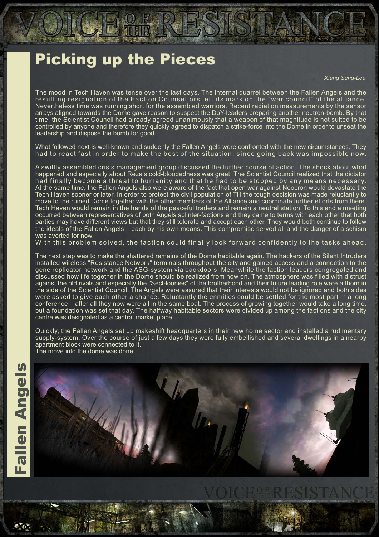# **Picking up the Pieces**

**Xiang Sung-Lee** 

The mood in Tech Haven was tense over the last days. The internal quarrel between the Fallen Angels and the resulting resignation of the Faction Counsellors left its mark on the "war council" of the alliance. Nevertheless time was running short for the assembled warriors. Recent radiation measurements by the sensor arrays aligned towards the Dome gave reason to suspect the DoY-leaders preparing another neutron-bomb. By that time, the Scientist Council had already agreed unanimously that a weapon of that magnitude is not suited to be controlled by anyone and therefore they quickly agreed to dispatch a strike-force into the Dome in order to unseat the leadership and dispose the bomb for good.

What followed next is well-known and suddenly the Fallen Angels were confronted with the new circumstances. They had to react fast in order to make the best of the situation, since going back was impossible now.

A swiftly assembled crisis management group discussed the further course of action. The shock about what happened and especially about Reza's cold-bloodedness was great. The Scientist Council realized that the dictator had finally become a threat to humanity and that he had to be stopped by any means necessary. At the same time, the Fallen Angels also were aware of the fact that open war against Neocron would devastate the Tech Haven sooner or later. In order to protect the civil population of TH the tough decision was made reluctantly to move to the ruined Dome together with the other members of the Alliance and coordinate further efforts from there. Tech Haven would remain in the hands of the peaceful traders and remain a neutral station. To this end a meeting occurred between representatives of both Angels splinter-factions and they came to terms with each other that both parties may have different views but that they still tolerate and accept each other. They would both continue to follow the ideals of the Fallen Angels – each by his own means. This compromise served all and the danger of a schism was averted for now.

With this problem solved, the faction could finally look forward confidently to the tasks ahead.

The next step was to make the shattered remains of the Dome habitable again. The hackers of the Silent Intruders installed wireless "Resistance Network" terminals throughout the city and gained access and a connection to the gene replicator network and the ASG-system via backdoors. Meanwhile the faction leaders congregated and discussed how life together in the Dome should be realized from now on. The atmosphere was filled with distrust against the old rivals and especially the "Sect-loonies" of the brotherhood and their future leading role were a thorn in the side of the Scientist Council. The Angels were assured that their interests would not be ignored and both sides were asked to give each other a chance. Reluctantly the enmities could be settled for the most part in a long conference – after all they now were all in the same boat. The process of growing together would take a long time, but a foundation was set that day. The halfway habitable sectors were divided up among the factions and the city centre was designated as a central market place.

Quickly, the Fallen Angels set up makeshift headquarters in their new home sector and installed a rudimentary supply-system. Over the course of just a few days they were fully embellished and several dwellings in a nearby apartment block were connected to it. The move into the dome was done...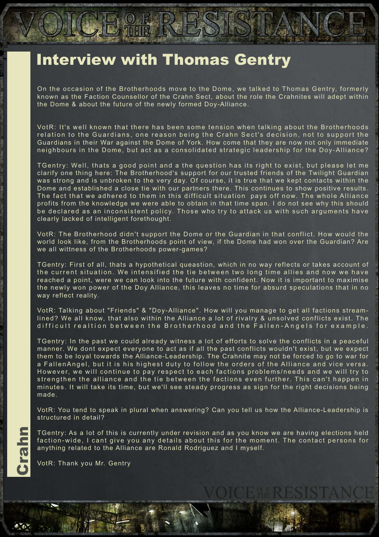### **Interview with Thomas Gentry**

AD).

On the occasion of the Brotherhoods move to the Dome, we talked to Thomas Gentry, formerly known as the Faction Counsellor of the Crahn Sect, about the role the Crahnites will adept within the Dome & about the future of the newly formed Doy-Alliance.

VotR: It's well known that there has been some tension when talking about the Brotherhoods relation to the Guardians, one reason being the Crahn Sect's decision, not to support the Guardians in their War against the Dome of York. How come that they are now not only immediate neighbours in the Dome, but act as a consolidated strategic leadership for the Doy-Alliance?

TGentry: Well, thats a good point and a the question has its right to exist, but please let me clarify one thing here: The Brotherhood's support for our trusted friends of the Twilight Guardian was strong and is unbroken to the very day. Of course, it is true that we kept contacts within the Dome and established a close tie with our partners there. This continues to show positive results. The fact that we adhered to them in this difficult situation pays off now. The whole Alliance profits from the knowledge we were able to obtain in that time span. I do not see why this should be declared as an inconsistent policy. Those who try to attack us with such arguments have clearly lacked of intelligent forethought.

VotR: The Brotherhood didn't support the Dome or the Guardian in that conflict. How would the world look like, from the Brotherhoods point of view, if the Dome had won over the Guardian? Are we all wittness of the Brotherhoods power-games?

TGentry: First of all, thats a hypothetical queastion, which in no way reflects or takes account of the current situation. We intensified the tie between two long time allies and now we have reached a point, were we can look into the future with confident. Now it is important to maximise the newly won power of the Doy Alliance, this leaves no time for absurd speculations that in no way reflect reality.

VotR: Talking about "Friends" & "Doy-Alliance". How will you manage to get all factions streamlined? We all know, that also within the Alliance a lot of rivalry & unsolved conflicts exist. The difficult realtion between the Brotherhood and the Fallen-Angels for example.

TGentry: In the past we could already witness a lot of efforts to solve the conflicts in a peaceful manner. We dont expect everyone to act as if all the past conflicts wouldn't exist, but we expect them to be loyal towards the Alliance-Leadership. The Crahnite may not be forced to go to war for a FallenAngel, but it is his highest duty to follow the orders of the Alliance and vice versa. However, we will continue to pay respect to each factions problems/needs and we will try to strengthen the alliance and the tie between the factions even further. This can't happen in minutes. It will take its time, but we'll see steady progress as sign for the right decisions being made.

VotR: You tend to speak in plural when answering? Can you tell us how the Alliance-Leadership is structured in detail?

TGentry: As a lot of this is currently under revision and as you know we are having elections held faction-wide, I cant give you any details about this for the moment. The contact persons for anything related to the Alliance are Ronald Rodriguez and I myself.

VotR: Thank you Mr. Gentry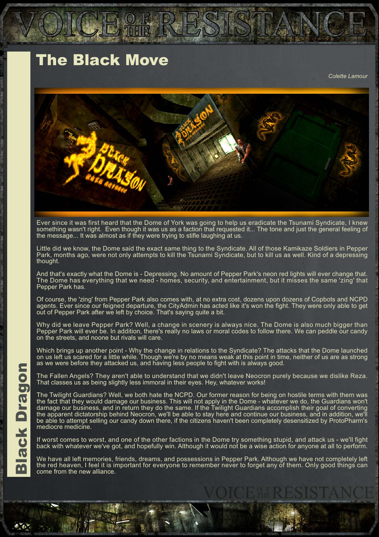# **The Black Move**

Colette Lamour



Ever since it was first heard that the Dome of York was going to help us eradicate the Tsunami Syndicate, I knew something wasn't right. Even though it was us as a faction that requested it... The tone and just the general feeling of the message... It was almost as if they were trying to stifle laughing at us.

Little did we know, the Dome said the exact same thing to the Syndicate. All of those Kamikaze Soldiers in Pepper Park, months ago, were not only attempts to kill the Tsunami Syndicate, but to kill us as well. Kind of a depressing<br>thought.

And that's exactly what the Dome is - Depressing. No amount of Pepper Park's neon red lights will ever change that. The Dome has everything that we need - homes, security, and entertainment, but it misses the same 'zing' that Pepper Park has.

Of course, the 'zing' from Pepper Park also comes with, at no extra cost, dozens upon dozens of Copbots and NCPD agents. Ever since our feigned departure, the CityAdmin has acted like it's won the fight. They were only able to get out of Pepper Park after we left by choice. That's saying quite a bit.

Why did we leave Pepper Park? Well, a change in scenery is always nice. The Dome is also much bigger than Pepper Park will ever be. In addition, there's really no laws or moral codes to follow there. We can peddle our candy on the streets, and noone but rivals will care.

Which brings up another point - Why the change in relations to the Syndicate? The attacks that the Dome launched<br>on us left us scared for a little while. Though we're by no means weak at this point in time, neither of us a as we were before they attacked us, and having less people to fight with is always good.

The Fallen Angels? They aren't able to understand that we didn't leave Neocron purely because we dislike Reza. That classes us as being slightly less immoral in their eyes. Hey, whatever works!

The Twilight Guardians? Well, we both hate the NCPD. Our former reason for being on hostile terms with them was the Twinghi Guardians: Well, we bout hate the NOT D. Our former reason for being on hostile terms with them was<br>the fact that they would damage our business. This will not apply in the Dome - whatever we do, the Guardians be able to attempt selling our candy down there, if the citizens haven't been completely desensitized by ProtoPharm's mediocre medicine.

If worst comes to worst, and one of the other factions in the Dome try something stupid, and attack us - we'll fight back with whatever we've got, and hopefully win. Although it would not be a wise action for anyone at all to perform.

We have all left memories, friends, dreams, and possessions in Pepper Park. Although we have not completely left the red heaven, I feel it is important for everyone to remember never to forget any of them. Only good things can come from the new alliance.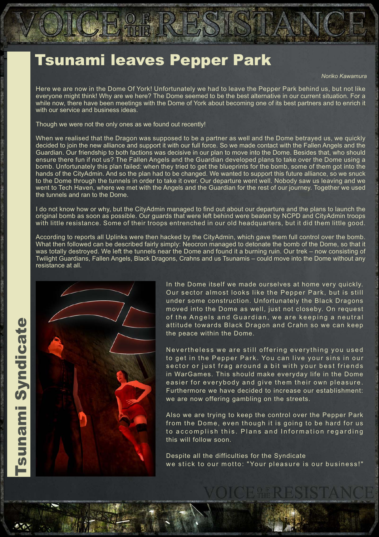# **Tsunami leaves Pepper Park**

Noriko Kawamura

Here we are now in the Dome Of York! Unfortunately we had to leave the Pepper Park behind us, but not like everyone might think! Why are we here? The Dome seemed to be the best alternative in our current situation. For a while now, there have been meetings with the Dome of York about becoming one of its best partners and to enrich it with our service and business ideas.

Though we were not the only ones as we found out recently!

When we realised that the Dragon was supposed to be a partner as well and the Dome betrayed us, we quickly decided to join the new alliance and support it with our full force. So we made contact with the Fallen Angels and the Guardian. Our friendship to both factions was decisive in our plan to move into the Dome. Besides that, who should ensure there fun if not us? The Fallen Angels and the Guardian developed plans to take over the Dome using a bomb. Unfortunately this plan failed: when they tried to get the blueprints for the bomb, some of them got into the hands of the CityAdmin. And so the plan had to be changed. We wanted to support this future alliance, so we snuck to the Dome through the tunnels in order to take it over. Our departure went well. Nobody saw us leaving and we went to Tech Haven, where we met with the Angels and the Guardian for the rest of our journey. Together we used the tunnels and ran to the Dome.

I do not know how or why, but the CityAdmin managed to find out about our departure and the plans to launch the original bomb as soon as possible. Our guards that were left behind were beaten by NCPD and CityAdmin troops with little resistance. Some of their troops entrenched in our old headquarters, but it did them little good.

According to reports all Uplinks were then hacked by the CityAdmin, which gave them full control over the bomb. What then followed can be described fairly simply: Neocron managed to detonate the bomb of the Dome, so that it was totally destroyed. We left the tunnels near the Dome and found it a burning ruin. Our trek - now consisting of Twilight Guardians, Fallen Angels, Black Dragons, Crahns and us Tsunamis - could move into the Dome without any resistance at all.



In the Dome itself we made ourselves at home very quickly. Our sector almost looks like the Pepper Park, but is still under some construction. Unfortunately the Black Dragons moved into the Dome as well, just not closeby. On request of the Angels and Guardian, we are keeping a neutral attitude towards Black Dragon and Crahn so we can keep the peace within the Dome.

Nevertheless we are still offering everything you used to get in the Pepper Park. You can live your sins in our sector or just frag around a bit with your best friends in WarGames. This should make everyday life in the Dome easier for everybody and give them their own pleasure. Furthermore we have decided to increase our establishment: we are now offering gambling on the streets.

Also we are trying to keep the control over the Pepper Park from the Dome, even though it is going to be hard for us to accomplish this. Plans and Information regarding this will follow soon.

Despite all the difficulties for the Syndicate we stick to our motto: "Your pleasure is our business!"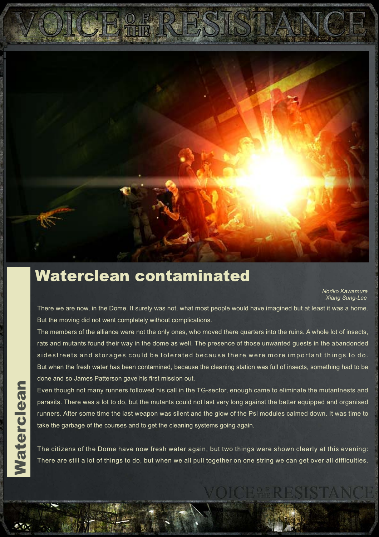

#### Waterclean contaminated

Noriko Kawamura **Xiang Sung-Lee** 

There we are now, in the Dome. It surely was not, what most people would have imagined but at least it was a home. But the moving did not went completely without complications.

The members of the alliance were not the only ones, who moved there quarters into the ruins. A whole lot of insects, rats and mutants found their way in the dome as well. The presence of those unwanted guests in the abandonded sidestreets and storages could be tolerated because there were more important things to do. But when the fresh water has been contamined, because the cleaning station was full of insects, something had to be done and so James Patterson gave his first mission out.

Even though not many runners followed his call in the TG-sector, enough came to eliminate the mutantnests and parasits. There was a lot to do, but the mutants could not last very long against the better equipped and organised runners. After some time the last weapon was silent and the glow of the Psi modules calmed down. It was time to take the garbage of the courses and to get the cleaning systems going again.

The citizens of the Dome have now fresh water again, but two things were shown clearly at this evening: There are still a lot of things to do, but when we all pull together on one string we can get over all difficulties.